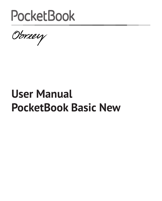

Obreey

# **User Manual PocketBook Basiс New**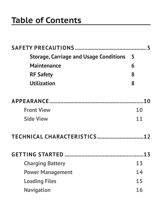### **Table of Contents**

| <b>Storage, Carriage and Usage Conditions</b> | 5  |
|-----------------------------------------------|----|
| Maintenance                                   | 6  |
| <b>RF Safety</b>                              | 8  |
| <b>Utilization</b>                            | 8  |
|                                               |    |
| <b>Front View</b>                             | 10 |
| <b>Side View</b>                              | 11 |
|                                               |    |
|                                               |    |
| <b>Charging Battery</b>                       | 13 |
| <b>Power Management</b>                       | 14 |
| <b>Loading Files</b>                          | 15 |
| <b>Navigation</b>                             | 16 |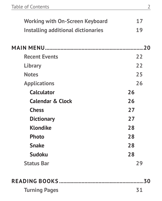| <b>Working with On-Screen Keyboard</b> | 17 |
|----------------------------------------|----|
| Installing additional dictionaries     | 19 |
|                                        |    |
|                                        |    |
| <b>Recent Events</b>                   | 22 |
| Library                                | 22 |
| <b>Notes</b>                           | 25 |
| <b>Applications</b>                    | 26 |
| <b>Calculator</b>                      | 26 |
| <b>Calendar &amp; Clock</b>            | 26 |
| <b>Chess</b>                           | 27 |
| <b>Dictionary</b>                      | 27 |
| <b>Klondike</b>                        | 28 |
| Photo                                  | 28 |
| <b>Snake</b>                           | 28 |
| <b>Sudoku</b>                          | 28 |
| <b>Status Bar</b>                      | 29 |
|                                        |    |
|                                        |    |
| <b>Turning Pages</b>                   | 31 |
|                                        |    |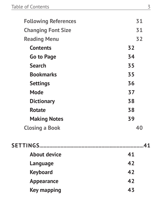| <b>Following References</b> | 31 |
|-----------------------------|----|
| <b>Changing Font Size</b>   | 31 |
| <b>Reading Menu</b>         | 32 |
| <b>Contents</b>             | 32 |
| Go to Page                  | 34 |
| <b>Search</b>               | 35 |
| <b>Bookmarks</b>            | 35 |
| <b>Settings</b>             | 36 |
| Mode                        | 37 |
| <b>Dictionary</b>           | 38 |
| Rotate                      | 38 |
| <b>Making Notes</b>         | 39 |
| <b>Closing a Book</b>       | 40 |
|                             |    |
| <b>About device</b>         | 41 |
| Language                    | 42 |
| <b>Keyboard</b>             | 42 |
| Appearance                  | 42 |
| Key mapping                 | 43 |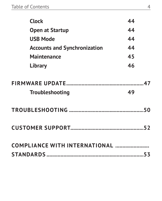| <b>Clock</b>                        | 44 |
|-------------------------------------|----|
| Open at Startup                     | 44 |
| <b>USB Mode</b>                     | 44 |
| <b>Accounts and Synchronization</b> | 44 |
| <b>Maintenance</b>                  | 45 |
| Library                             | 46 |
|                                     |    |
|                                     |    |
| <b>Troubleshooting</b>              | 49 |
|                                     |    |
|                                     |    |
|                                     |    |
|                                     |    |
|                                     |    |
|                                     |    |
|                                     |    |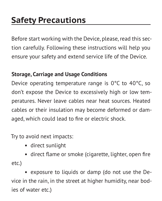## <span id="page-5-0"></span>**Safety Precautions**

Before start working with the Device, please, read this section carefully. Following these instructions will help you ensure your safety and extend service life of the Device.

#### **Storage, Carriage and Usage Conditions**

Device operating temperature range is 0°С to 40°С, so don't expose the Device to excessively high or low temperatures. Never leave cables near heat sources. Heated cables or their insulation may become deformed or damaged, which could lead to fire or electric shock.

Try to avoid next impacts:

**•** direct sunlight

**•** direct flame or smoke (cigarette, lighter, open fire etc.)

**•** exposure to liquids or damp (do not use the Device in the rain, in the street at higher humidity, near bodies of water etc.)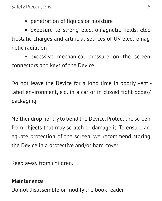**•** penetration of liquids or moisture

<span id="page-6-0"></span>**•** exposure to strong electromagnetic fields, electrostatic charges and artificial sources of UV electromagnetic radiation

**•** excessive mechanical pressure on the screen, connectors and keys of the Device.

Do not leave the Device for a long time in poorly ventilated environment, e.g. in a car or in closed tight boxes/ packaging.

Neither drop nor try to bend the Device. Protect the screen from objects that may scratch or damage it. To ensure adequate protection of the screen, we recommend storing the Device in a protective and/or hard cover.

Keep away from children.

#### **Maintenance**

Do not disassemble or modify the book reader.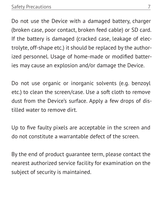Do not use the Device with a damaged battery, charger (broken case, poor contact, broken feed cable) or SD card. If the battery is damaged (cracked case, leakage of electrolyte, off-shape etc.) it should be replaced by the authorized personnel. Usage of home-made or modified batteries may cause an explosion and/or damage the Device.

Do not use organic or inorganic solvents (e.g. benzoyl etc.) to clean the screen/case. Use a soft cloth to remove dust from the Device's surface. Apply a few drops of distilled water to remove dirt.

Up to five faulty pixels are acceptable in the screen and do not constitute a warrantable defect of the screen.

By the end of product guarantee term, please contact the nearest authorized service facility for examination on the subject of security is maintained.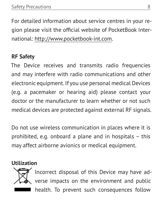<span id="page-8-0"></span>For detailed information about service centres in your region please visit the official website of PocketBook International: <http://www.pocketbook-int.com>.

#### **RF Safety**

The Device receives and transmits radio frequencies and may interfere with radio communications and other electronic equipment. If you use personal medical Devices (e.g. a pacemaker or hearing aid) please contact your doctor or the manufacturer to learn whether or not such medical devices are protected against external RF signals.

Do not use wireless communication in places where it is prohibited, e.g. onboard a plane and in hospitals – this may affect airborne avionics or medical equipment.

#### **Utilization**



Incorrect disposal of this Device may have adverse impacts on the environment and public health. To prevent such consequences follow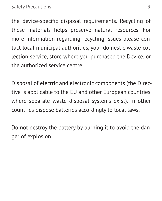the device-specific disposal requirements. Recycling of these materials helps preserve natural resources. For more information regarding recycling issues please contact local municipal authorities, your domestic waste collection service, store where you purchased the Device, or the authorized service centre.

Disposal of electric and electronic components (the Directive is applicable to the EU and other European countries where separate waste disposal systems exist). In other countries dispose batteries accordingly to local laws.

Do not destroy the battery by burning it to avoid the danger of explosion!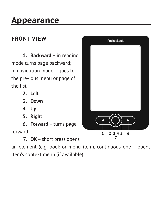### <span id="page-10-0"></span>**Appearance**

#### **FRONT VIEW**

**1. Backward** – in reading mode turns page backward; in navigation mode – goes to the previous menu or page of the list

- **2. Left**
- **3. Down**
- **4. Up**
- **5. Right**
- **6. Forward** turns page

forward

**7. ОК** – short press opens

an element (e.g. book or menu item), continuous one – opens item's context menu (if available)

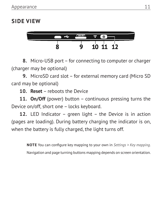#### <span id="page-11-0"></span>**SIDE VIEW**



**8.** Micro-USB port – for connecting to computer or charger (charger may be optional)

**9.** MicroSD card slot – for external memory card (Micro SD card may be optional)

**10. Reset** – reboots the Device

**11. On/Off** (power) button – continuous pressing turns the Device on/off, short one – locks keyboard.

**12.** LED Indicator – green light – the Device is in action (pages are loading). During battery charging the indicator is on, when the battery is fully charged, the light turns off.

> **NOTE** You can configure key mapping to your own in *Settings > Key mapping.*  Navigation and page turning buttons mapping depends on screen orientation.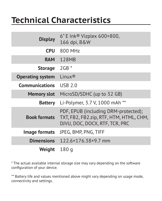### <span id="page-12-0"></span>**Technical Characteristics**

| <b>Display</b>          | $6"$ E Ink® Vizplex 600×800,<br>166 dpi, B&W                                                                      |
|-------------------------|-------------------------------------------------------------------------------------------------------------------|
| <b>CPU</b>              | 800 MHz                                                                                                           |
| <b>RAM</b>              | 128MB                                                                                                             |
| <b>Storage</b>          | $2GB*$                                                                                                            |
| <b>Operating system</b> | $l$ inux <sup>®</sup>                                                                                             |
| <b>Communications</b>   | <b>USB 2.0</b>                                                                                                    |
| <b>Memory slot</b>      | MicroSD/SDHC (up to 32 GB)                                                                                        |
| Battery                 | Li-Polymer, 3.7 V, 1000 mAh **                                                                                    |
| <b>Book formats</b>     | PDF, EPUB (including DRM-protected);<br>TXT, FB2, FB2.zip, RTF, HTM, HTML, CHM,<br>DJVU, DOC, DOCX, RTF, TCR, PRC |
| Image formats           | JPEG, BMP, PNG, TIFF                                                                                              |
| <b>Dimensions</b>       | 122.6×176.38×9.7 mm                                                                                               |
| Weight                  | 180 g                                                                                                             |

\* The actual available internal storage size may vary depending on the software configuration of your device.

\*\* Battery life and values mentioned above might vary depending on usage mode, connectivity and settings.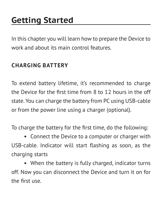## <span id="page-13-0"></span>**Getting Started**

In this chapter you will learn how to prepare the Device to work and about its main control features.

#### **CHARGING BATTERY**

To extend battery lifetime, it's recommended to charge the Device for the first time from 8 to 12 hours in the off state. You can charge the battery from PC using USB-cable or from the power line using a charger (optional).

To charge the battery for the first time, do the following:

**•** Connect the Device to a computer or charger with USB-cable. Indicator will start flashing as soon, as the charging starts

**•** When the battery is fully charged, indicator turns off. Now you can disconnect the Device and turn it on for the first use.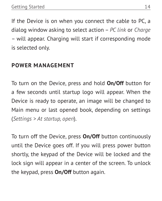<span id="page-14-0"></span>If the Device is on when you connect the cable to PC, a dialog window asking to select action – *PC link* or *Charge* – will appear. Charging will start if corresponding mode is selected only.

#### **POWER MANAGEMENT**

To turn on the Device, press and hold **On/Off** button for a few seconds until startup logo will appear. When the Device is ready to operate, an image will be changed to Main menu or last opened book, depending on settings (*Settings > At startup, open*).

To turn off the Device, press **On/Off** button continuously until the Device goes off. If you will press power button shortly, the keypad of the Device will be locked and the lock sign will appear in a center of the screen. To unlock the keypad, press **On/Off** button again.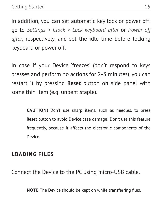<span id="page-15-0"></span>In addition, you can set automatic key lock or power off: go to *Settings > Clock > Lock keyboard after* or *Power off after*, respectively, and set the idle time before locking keyboard or power off.

In case if your Device 'freezes' (don't respond to keys presses and perform no actions for 2-3 minutes), you can restart it by pressing **Reset** button on side panel with some thin item (e.g. unbent staple).

> **CAUTION!** Don't use sharp items, such as needles, to press **Reset** button to avoid Device case damage! Don't use this feature frequently, because it affects the electronic components of the Device.

#### **LOADING FILES**

Connect the Device to the PC using micro-USB cable.

**NOTE** The Device should be kept on while transferring files.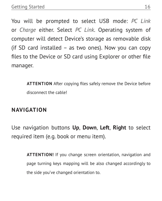<span id="page-16-0"></span>You will be prompted to select USB mode: *PC Link* or *Charge* either. Select *PC Link*. Operating system of computer will detect Device's storage as removable disk (if SD card installed – as two ones). Now you can copy files to the Device or SD card using Explorer or other file manager.

> **ATTENTION** After copying files safely remove the Device before disconnect the cable!

#### **NAVIGATION**

Use navigation buttons **Up**, **Down**, **Left**, **Right** to select required item (e.g. book or menu item).

> **ATTENTION!** If you change screen orientation, navigation and page turning keys mapping will be also changed accordingly to the side you've changed orientation to.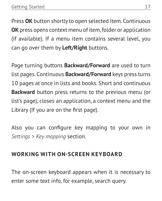<span id="page-17-0"></span>Press **OK** button shortly to open selected item. Continuous **OK** press opens context menu of item, folder or application (if available). If a menu item contains several level, you can go over them by **Left/Right** buttons.

Page turning buttons **Backward/Forward** are used to turn list pages. Continuous **Backward/Forward** keys press turns 10 pages at once in lists and books. Short and continuous **Backward** button press returns to the previous menu (or list's page), closes an application, a context menu and the Library (If you are on the first page).

Also you can configure key mapping to your own in *Settings > Key mapping* section.

#### **WORKING WITH ON-SCREEN KEYBOARD**

The on-screen keyboard appears when it is necessary to enter some text info, for example, search query.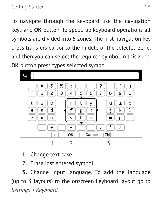To navigate through the keyboard use the navigation keys and **OK** button. To speed up keyboard operations all symbols are divided into 5 zones. The first navigation key press transfers cursor to the middle of the selected zone, and then you can select the required symbol in this zone. **OK** button press types selected symbol.



- **1.** Change text case
- **2.** Erase last entered symbol

**3.** Change input language. To add the language (up to 3 layouts) to the onscreen keyboard layout go to *Settings > Keyboard*.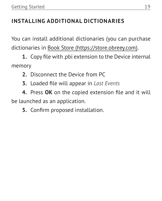#### <span id="page-19-0"></span>**INSTALLING ADDITIONAL DICTIONARIES**

You can install additional dictionaries (you can purchase dictionaries in Book [Store \(https://store.obreey.com\)](https://store.obreey.com).

**1.** Copy file with .pbi extension to the Device internal memory

- **2.** Disconnect the Device from PC
- **3.** Loaded file will appear in *Last Events*

**4.** Press **OK** on the copied extension file and it will be launched as an application.

**5.** Confirm proposed installation.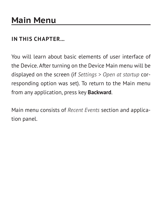#### <span id="page-20-0"></span>**IN THIS CHAPTER...**

You will learn about basic elements of user interface of the Device. After turning on the Device Main menu will be displayed on the screen (if *Settings > Open at startup* corresponding option was set). To return to the Main menu from any application, press key **Backward**.

Main menu consists of *Recent Events* section and application panel.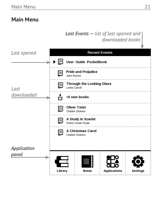#### **Main Menu**

#### *Last Events — list of last opened and downloaded books*

| Last opened |                            |                                                   | <b>Recent Events</b> |                 |
|-------------|----------------------------|---------------------------------------------------|----------------------|-----------------|
|             | Ħ<br>$\blacktriangleright$ | User Guide PocketBook                             |                      |                 |
|             | U                          | <b>Pride and Prejudice</b><br>Jane Austen         |                      |                 |
| Last        | Ŀ                          | <b>Through the Looking-Glass</b><br>Lewis Carroll |                      |                 |
| downloaded  |                            | +5 new books                                      |                      |                 |
|             | E                          | <b>Oliver Twist</b><br><b>Charles Dickens</b>     |                      |                 |
|             | E                          | A Study In Scarlet<br>Arthur Conan Doyle          |                      |                 |
|             | E                          | A Christmas Carol<br><b>Charles Dickens</b>       |                      |                 |
| Application |                            |                                                   |                      |                 |
| panel       | Library                    | <b>Notes</b>                                      | <b>Applications</b>  | <b>Settings</b> |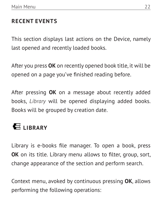#### <span id="page-22-0"></span>**RECENT EVENTS**

This section displays last actions on the Device, namely last opened and recently loaded books.

After you press **OK** on recently opened book title, it will be opened on a page you've finished reading before.

After pressing **OK** on a message about recently added books, *Library* will be opened displaying added books. Books will be grouped by creation date.

### **LIBRARY**

Library is e-books file manager. To open a book, press **OK** on its title. Library menu allows to filter, group, sort, change appearance of the section and perform search.

Context menu, avoked by continuous pressing **OK**, allows performing the following operations: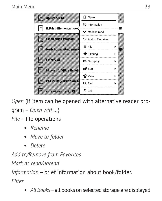

*Open* (if item can be opened with alternative reader program – *Open with…*) *File* – file operations

- **•** *Rename*
- **•** *Move to folder*
- **•** *Delete*

*Add to/Remove from Favorites*

*Mark as read/unread*

*Information* – brief information about book/folder. *Filter*

**•** *All Books* – all books on selected storage are displayed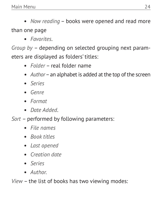**•** *Now reading* – books were opened and read more than one page

**•** *Favorites*.

*Group by* – depending on selected grouping next parameters are displayed as folders' titles:

- **•** *Folder* real folder name
- **•** *Author* an alphabet is added at the top of the screen
- **•** *Series*
- **•** *Genre*
- **•** *Format*
- **•** *Date Added*.
- *Sort*  performed by following parameters:
	- **•** *File names*
	- **•** *Book titles*
	- **•** *Last opened*
	- **•** *Creation date*
	- **•** *Series*
	- **•** *Author.*

*View* – the list of books has two viewing modes: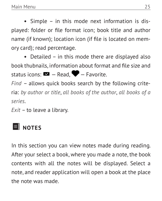<span id="page-25-0"></span>**•** Simple – in this mode next information is displayed: folder or file format icon; book title and author name (if known); location icon (if file is located on memory card); read percentage.

**•** Detailed – in this mode there are displayed also book thubnails, information about format and file size and status icons:  $\blacksquare$  - Read,  $\blacksquare$  - Favorite.

*Find* – allows quick books search by the following criteria: *by author or title*, *all books of the author*, *all books of a series*.

*Exit* – to leave a library.

### **E** NOTES

In this section you can view notes made during reading. After your select a book, where you made a note, the book contents with all the notes will be displayed. Select a note, and reader application will open a book at the place the note was made.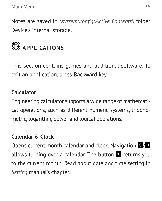<span id="page-26-0"></span>Notes are saved in *\system\config\Active Contents\* folder Device's internal storage.

# **APPLICATIONS**

This section contains games and additional software. To exit an application, press **Backward** key.

#### **Calculator**

Engineering calculator supports a wide range of mathematical operations, such as different numeric systems, trigonometric, logarithm, power and logical operations.

#### **Calendar & Clock**

Opens current month calendar and clock. Navigation  $\langle \rangle$ allows turning over a calendar. The button  $\Omega$  returns you to the current month. Read about date and time setting in *Setting* manual's chapter.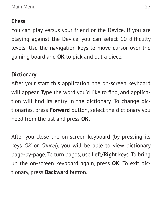#### <span id="page-27-0"></span>**Chess**

You can play versus your friend or the Device. If you are playing against the Device, you can select 10 difficulty levels. Use the navigation keys to move cursor over the gaming board and **OK** to pick and put a piece.

#### **Dictionary**

After your start this application, the on-screen keyboard will appear. Type the word you'd like to find, and application will find its entry in the dictionary. To change dictionaries, press **Forward** button, select the dictionary you need from the list and press **OK**.

After you close the on-screen keyboard (by pressing its keys *OK* or *Cancel*), you will be able to view dictionary page-by-page. To turn pages, use **Left/Right** keys. To bring up the on-screen keyboard again, press **OK**. To exit dictionary, press **Backward** button.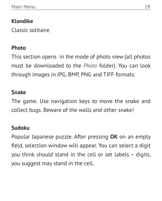#### <span id="page-28-0"></span>**Klondike**

Classic solitaire.

#### **Photo**

This section opens in the mode of photo view (all photos must be downloaded to the *Photo* folder). You can look through images in JPG, BMP, PNG and TIFF formats.

#### **Snake**

The game. Use navigation keys to move the snake and collect bugs. Beware of the walls and other snake!

#### **Sudoku**

Popular Japanese puzzle. After pressing **OK** on an empty field, selection window will appear. You can select a digit you think should stand in the cell or set labels – digits, you suggest may stand in the cell.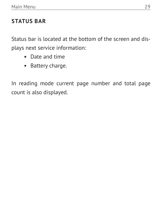#### <span id="page-29-0"></span>**STATUS BAR**

Status bar is located at the bottom of the screen and displays next service information:

- **•** Date and time
- **•** Battery charge.

In reading mode current page number and total page count is also displayed.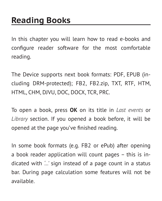<span id="page-30-0"></span>In this chapter you will learn how to read e-books and configure reader software for the most comfortable reading.

The Device supports next book formats: PDF, EPUB (including DRM-protected); FB2, FB2.zip, TXT, RTF, HTM, HTML, CHM, DJVU, DOC, DOCX, TCR, PRC.

To open a book, press **OK** on its title in *Last events* or *Library* section. If you opened a book before, it will be opened at the page you've finished reading.

In some book formats (e.g. FB2 or ePub) after opening a book reader application will count pages – this is indicated with *'…'* sign instead of a page count in a status bar. During page calculation some features will not be available.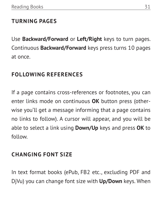#### <span id="page-31-0"></span>**TURNING PAGES**

Use **Backward/Forward** or **Left/Right** keys to turn pages. Continuous **Backward/Forward** keys press turns 10 pages at once.

#### **FOLLOWING REFERENCES**

If a page contains cross-references or footnotes, you can enter links mode on continuous **OK** button press (otherwise you'll get a message informing that a page contains no links to follow). A cursor will appear, and you will be able to select a link using **Down/Up** keys and press **OK** to follow.

#### **CHANGING FONT SIZE**

In text format books (ePub, FB2 etc., excluding PDF and DjVu) you can change font size with **Up/Down** keys. When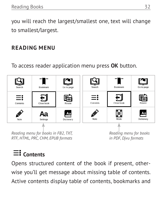<span id="page-32-0"></span>you will reach the largest/smallest one, text will change to smallest/largest.

#### **READING MENU**

To access reader application menu press **OK** button.



### **Contents**

Opens structured content of the book if present, otherwise you'll get message about missing table of contents. Active contents display table of contents, bookmarks and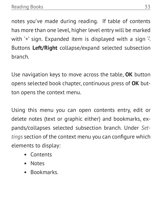notes you've made during reading. If table of contents has more than one level, higher level entry will be marked with  $+$ ' sign. Expanded item is displayed with a sign  $\frac{1}{2}$ . Buttons **Left/Right** collapse/expand selected subsection branch.

Use navigation keys to move across the table, **OK** button opens selected book chapter, continuous press of **OK** button opens the context menu.

Using this menu you can open contents entry, edit or delete notes (text or graphic either) and bookmarks, expands/collapses selected subsection branch. Under *Settings* section of the context menu you can configure which elements to display:

- **•** Contents
- **•** Notes
- **•** Bookmarks.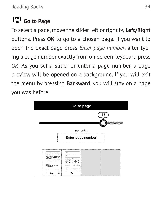### <span id="page-34-0"></span>**Go to Page**

To select a page, move the slider left or right by **Left/Right** buttons. Press **OK** to go to a chosen page. If you want to open the exact page press *Enter page number*, after typing a page number exactly from on-screen keyboard press *OK*. As you set a slider or enter a page number, a page preview will be opened on a background. If you will exit the menu by pressing **Backward**, you will stay on a page you was before.

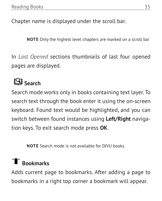<span id="page-35-0"></span>Chapter name is displayed under the scroll bar.

**NOTE** Only the highest level chapters are marked on a scroll bar

In *Last Opened* sections thumbnails of last four opened pages are displayed.

## **Search**

Search mode works only in books containing text layer. To search text through the book enter it using the on-screen keyboard. Found text would be highlighted, and you can switch between found instances using **Left/Right** navigation keys. To exit search mode press **OK**.

**NOTE** Search mode is not available for DJVU books.

### **T** Bookmarks

Adds current page to bookmarks. After adding a page to bookmarks in a right top corner a bookmark will appear.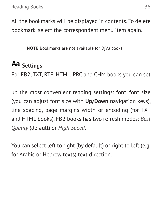<span id="page-36-0"></span>All the bookmarks will be displayed in contents. To delete bookmark, select the correspondent menu item again.

**NOTE** Bookmarks are not available for DjVu books

### **Settings**

For FB2, TXT, RTF, HTML, PRC and CHM books you can set

up the most convenient reading settings: font, font size (you can adjust font size with **Up/Down** navigation keys), line spacing, page margins width or encoding (for TXT and HTML books). FB2 books has two refresh modes: *Best Quality* (default) or *High Speed*.

You can select left to right (by default) or right to left (e.g. for Arabic or Hebrew texts) text direction.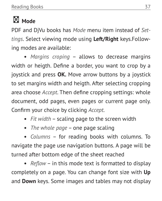# <span id="page-37-0"></span> **Mode**

PDF and DjVu books has *Mode* menu item instead of *Settings*. Select viewing mode using **Left/Right** keys.Following modes are available:

**•** *Margins croping* – allows to decrease margins width or heigth. Define a border, you want to crop by a joystick and press **OK.** Move arrow buttons by a joystick to set margins width and heigth. After selecting cropping area choose *Accept*. Then define cropping settings: whole document, odd pages, even pages or current page only. Confirm your choice by clicking *Accept*.

- **•** *Fit width* scaling page to the screen width
- **•** *The whole page* one page scaling

**•** *Columns* – for reading books with columns. To navigate the page use navigation buttons. A page will be turned after bottom edge of the sheet reached

**•** *Reflow* – in this mode text is formatted to display completely on a page. You can change font size with **Up** and **Down** keys. Some images and tables may not display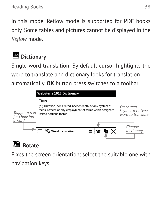<span id="page-38-0"></span>in this mode. Reflow mode is supported for PDF books only. Some tables and pictures cannot be displayed in the *Reflow* mode.

### **Dictionary**

Single-word translation. By default cursor highlights the word to translate and dictionary looks for translation automatically. **OK** button press switches to a toolbar.



### **H** Rotate

Fixes the screen orientation: select the suitable one with navigation keys.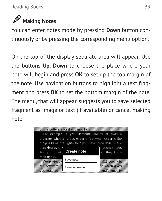<span id="page-39-0"></span>

You can enter notes mode by pressing **Down** button continuously or by pressing the corresponding menu option.

On the top of the display separate area will appear. Use the buttons **Up**, **Down** to choose the place where your note will begin and press **OK** to set up the top margin of the note. Use navigation buttons to highlight a text fragment and press **OK** to set the bottom margin of the note. The menu, that will appear, suggests you to save selected fragment as image or text (if available) or cancel making note.

|                                   | of the software, or if you modify it.                                                                                                                                |                                 |
|-----------------------------------|----------------------------------------------------------------------------------------------------------------------------------------------------------------------|---------------------------------|
|                                   | For example, if you distribute copies of such a<br>program, whether gratis or for a fee, you must give the<br>recipients all the rights that you have. You must make |                                 |
| sure that they,<br>And you must   | <b>Create note</b>                                                                                                                                                   | e source code.<br>so they know  |
| their rights.<br>We protect       | Save note                                                                                                                                                            | s: (1) copyright                |
| the software, a<br>you legal pern | Save as image                                                                                                                                                        | se which gives<br>and/or modify |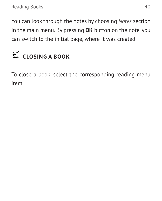<span id="page-40-0"></span>You can look through the notes by choosing *Notes* section in the main menu. By pressing **OK** button on the note, you can switch to the initial page, where it was created.

# **CLOSING A BOOK**

To close a book, select the corresponding reading menu item.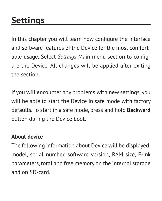## <span id="page-41-0"></span>**Settings**

In this chapter you will learn how configure the interface and software features of the Device for the most comfortable usage. Select *Settings* Main menu section to configure the Device. All changes will be applied after exiting the section.

If you will encounter any problems with new settings, you will be able to start the Device in safe mode with factory defaults. To start in a safe mode, press and hold **Backward** button during the Device boot.

#### **About device**

The following information about Device will be displayed: model, serial number, software version, RAM size, E-ink parameters, total and free memory on the internal storage and on SD-card.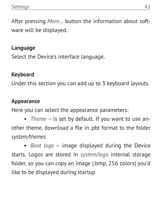<span id="page-42-0"></span>After pressing *More…* button the information about software will be displayed.

#### **Language**

Select the Device's interface language.

#### **Keyboard**

Under this section you can add up to 3 keyboard layouts.

#### **Appearance**

Here you can select the appearance parameters:

**•** *Theme* – is set by default. If you want to use another theme, download a file in .pbt format to the folder *system/themes*

**•** *Boot logo* – image displayed during the Device starts. Logos are stored in *system/logo* internal storage folder, so you can copy an image (.bmp, 256 colors) you'd like to be displayed during startup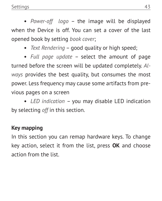<span id="page-43-0"></span>**•** *Power-off logo* – the image will be displayed when the Device is off. You can set a cover of the last opened book by setting *book cover*;

**•** *Text Rendering* – good quality or high speed;

**•** *Full page update* – select the amount of page turned before the screen will be updated completely. *Always* provides the best quality, but consumes the most power. Less frequency may cause some artifacts from previous pages on a screen

**•** *LED indication* – you may disable LED indication by selecting *off* in this section.

#### **Key mapping**

In this section you can remap hardware keys. To change key action, select it from the list, press **OK** and choose action from the list.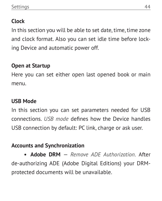#### <span id="page-44-0"></span>**Clock**

In this section you will be able to set date, time, time zone and clock format. Also you can set idle time before locking Device and automatic power off.

#### **Open at Startup**

Here you can set either open last opened book or main menu.

#### **USB Mode**

In this section you can set parameters needed for USB connections. *USB mode* defines how the Device handles USB connection by default: PC link, charge or ask user.

#### **Accounts and Synchronization**

**• Adobe DRM** — *Remove ADE Authorization.* After de-authorizing ADE (Adobe Digital Editions) your DRMprotected documents will be unavailable.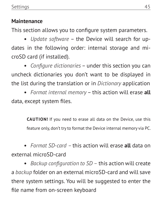#### <span id="page-45-0"></span>**Maintenance**

This section allows you to configure system parameters.

**•** *Update software* – the Device will search for updates in the following order: internal storage and microSD card (if installed).

**•** *Configure dictionaries* – under this section you can uncheck dictionaries you don't want to be displayed in the list during the translation or in *Dictionary* application

**•** *Format internal memory* – this action will erase **all** data, except system files.

> **CAUTION!** If you need to erase all data on the Device, use this feature only, don't try to format the Device internal memory via PC.

**•** *Format SD-card –* this action will erase **all** data on external microSD-card

**•** *Backup configuration to SD –* this action will create a *backup* folder on an external microSD-card and will save there system settings. You will be suggested to enter the file name from on-screen keyboard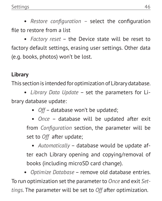<span id="page-46-0"></span>**•** *Restore configuration –* select the configuration file to restore from a list

**•** *Factory reset* – the Device state will be reset to factory default settings, erasing user settings. Other data (e.g. books, photos) won't be lost.

#### **Library**

This section is intended for optimization of Library database.

**•** *Library Data Update* – set the parameters for Library database update:

**•** *Off* – database won't be updated;

**•** *Once* – database will be updated after exit from *Configuration* section, the parameter will be set to *Off* after update;

**•** *Automatically* – database would be update after each Library opening and copying/removal of books (including microSD card change).

**•** *Optimize Database* – remove old database entries. To run optimization set the parameter to *Once* and exit *Settings*. The parameter will be set to *Off* after optimization.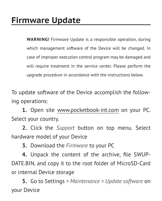<span id="page-47-0"></span>**WARNING!** Firmware Update is a responsible operation, during which management software of the Device will be changed. In case of improper execution control program may be damaged and will require treatment in the service center. Please perform the upgrade procedure in accordance with the instructions below.

To update software of the Device accomplish the following operations:

**1.** Open site www.pocketbook-int.com on your PC. Select your country.

**2.** Click the *Support* button on top menu. Select hardware model of your Device

**3.** Download the *Firmware* to your PC

**4.** Unpack the content of the archive, file SWUP-DATE.BIN, and copy it to the root folder of MicroSD-Card or internal Device storage

**5.** Go to Settings *> Maintenance > Update software* on your Device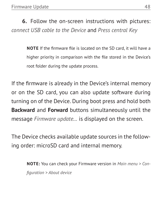**6.** Follow the on-screen instructions with pictures: *connect USB cable to the Device* and *Press central Key*

> **NOTE** If the firmware file is located on the SD card, it will have a higher priority in comparison with the file stored in the Device's root folder during the update process.

If the firmware is already in the Device's internal memory or on the SD card, you can also update software during turning on of the Device. During boot press and hold both **Backward** and **Forward** buttons simultaneously until the message *Firmware update…* is displayed on the screen.

The Device checks available update sources in the following order: microSD card and internal memory.

> **NOTE:** You can check your Firmware version in *Main menu > Configuration > About device*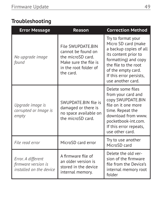#### <span id="page-49-0"></span>**Troubleshooting**

| <b>Error Message</b>                                                 | Reason                                                                                                                      | <b>Correction Method</b>                                                                                                                                                                                          |
|----------------------------------------------------------------------|-----------------------------------------------------------------------------------------------------------------------------|-------------------------------------------------------------------------------------------------------------------------------------------------------------------------------------------------------------------|
| No upgrade image<br>found                                            | File SWUPDATE.BIN<br>cannot be found on<br>the microSD card.<br>Make sure the file is<br>in the root folder of<br>the card. | Try to format your<br>Micro SD card (make<br>a backup copies of all<br>its content prior to<br>formatting) and copy<br>the file to the root<br>of the empty card.<br>If this error persists,<br>use another card. |
| Upgrade image is<br>corrupted or Image is<br>empty                   | SWUPDATE.BIN file is<br>damaged or there is<br>no space available on<br>the microSD card.                                   | Delete some files<br>from your card and<br>copy SWUPDATE.BIN<br>file on it one more<br>time. Repeat the<br>download from www.<br>pocketbook-int.com.<br>If this error repeats,<br>use other card.                 |
| File read error                                                      | MicroSD card error                                                                                                          | Try to use another<br>MicroSD card                                                                                                                                                                                |
| Error. A different<br>firmware version is<br>installed on the device | A firmware file of<br>an older version is<br>stored in the device<br>internal memory.                                       | Delete the old ver-<br>sion of the firmware<br>file from the Device's<br>internal memory root<br>folder                                                                                                           |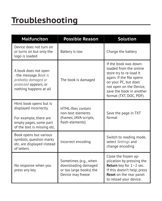### <span id="page-50-0"></span>**Troubleshooting**

| <b>Malfunciton</b>                                                                                                                  | <b>Possible Reason</b>                                                                       | <b>Solution</b>                                                                                                                                                                                                  |
|-------------------------------------------------------------------------------------------------------------------------------------|----------------------------------------------------------------------------------------------|------------------------------------------------------------------------------------------------------------------------------------------------------------------------------------------------------------------|
| Device does not turn on<br>or turns on but only the<br>logo is loaded                                                               | Battery is low                                                                               | Charge the battery                                                                                                                                                                                               |
| A book does not open<br>- the message Book is<br>probably damaged or<br>protected appears, or<br>nothing happens at all             | The book is damaged                                                                          | If the book was down-<br>loaded from the online<br>store try to re-load it<br>again. If the file opens<br>on your PC, but does<br>not open on the Device,<br>save the book in another<br>format (TXT, DOC, PDF). |
| Html book opens but is<br>displayed incorrectly.<br>For example, there are<br>empty pages, some part<br>of the text is missing etc. | HTMI-files contain<br>non-text elements<br>(frames, JAVA-scripts,<br>flash-elements)         | Save the page in TXT<br>format                                                                                                                                                                                   |
| Book opens but various<br>symbols, question marks<br>etc. are displayed instead<br>of letters                                       | Incorrect encoding                                                                           | Switch to reading mode,<br>select Settings and<br>change encoding                                                                                                                                                |
| No response when you<br>press any key                                                                                               | Sometimes (e.g., when<br>downloading damaged<br>or too large books) the<br>Device may freeze | Close the frozen ap-<br>plication by pressing the<br>Return key for 1-2 sec.<br>If this doesn't help, press<br>Reset on the rear panel<br>to reload your device.                                                 |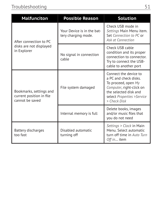| <b>Malfunciton</b>                                                     | <b>Possible Reason</b>                            | <b>Solution</b>                                                                                                                                                          |
|------------------------------------------------------------------------|---------------------------------------------------|--------------------------------------------------------------------------------------------------------------------------------------------------------------------------|
| After connection to PC                                                 | Your Device is in the bat-<br>tery charging mode. | Check USB mode in<br>Settings Main Menu item.<br>Set Connection to PC or<br>Ask at Connection                                                                            |
| disks are not displayed<br>in Explorer                                 | No signal in connection<br>cable                  | Check USB cable<br>condition and its proper<br>connection to connector.<br>Try to connect the USB-<br>cable to another port                                              |
| Bookmarks, settings and<br>current position in file<br>cannot be saved | File system damaged                               | Connect the device to<br>a PC and check disks.<br>To proceed, open My<br>Computer, right-click on<br>the selected disk and<br>select Properties >Service<br>> Check Disk |
|                                                                        | Internal memory is full                           | Delete books, images<br>and/or music files that<br>you do not need                                                                                                       |
| Battery discharges<br>too fast                                         | Disabled automatic<br>turning off                 | Settings > Clock in Main<br>Menu. Select automatic<br>turn off time in Auto Turn<br>Off in item                                                                          |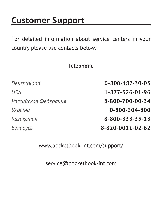### <span id="page-52-0"></span>**Customer Support**

For detailed information about service centers in your country please use contacts below:

#### **Telephone**

| Deutschland          | 0-800-187-30-03  |
|----------------------|------------------|
| USA                  | 1-877-326-01-96  |
| Российская Федерация | 8-800-700-00-34  |
| Україна              | 0-800-304-800    |
| Казақстан            | 8-800-333-35-13  |
| Беларусь             | 8-820-0011-02-62 |

[www.pocketbook-int.com/support/](mailto:pocketbook-int.com/support/)

[service@pocketbook-int.com](mailto:service@pocketbook-int.com)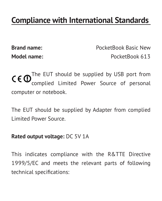### <span id="page-53-0"></span>**Compliance with International Standards**

**Brand name:** PocketBook Basic New **Model name:** PocketBook 613

The EUT should be supplied by USB port from complied Limited Power Source of pers computer or notebook.

The EUT should be supplied by Adapter from complied Limited Power Source.

#### **Rated output voltage:** DC 5V 1A

This indicates compliance with the R&TTE Directive 1999/5/EC and meets the relevant parts of following technical specifications: